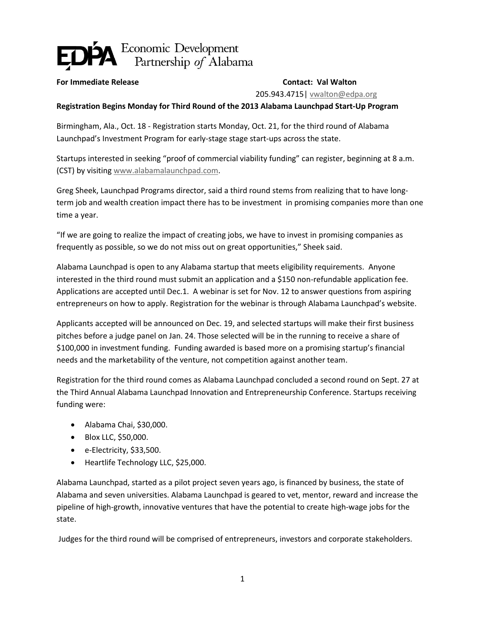## Economic Development<br>Partnership of Alabama

## **For Immediate Release Contact: Val Walton**

205.943.4715| [vwalton@edpa.org](mailto:vwalton@edpa.org)

## **Registration Begins Monday for Third Round of the 2013 Alabama Launchpad Start-Up Program**

Birmingham, Ala., Oct. 18 - Registration starts Monday, Oct. 21, for the third round of Alabama Launchpad's Investment Program for early-stage stage start-ups across the state.

Startups interested in seeking "proof of commercial viability funding" can register, beginning at 8 a.m. (CST) by visitin[g www.alabamalaunchpad.com.](http://www.alabamalaunchpad.com/)

Greg Sheek, Launchpad Programs director, said a third round stems from realizing that to have longterm job and wealth creation impact there has to be investment in promising companies more than one time a year.

"If we are going to realize the impact of creating jobs, we have to invest in promising companies as frequently as possible, so we do not miss out on great opportunities," Sheek said.

Alabama Launchpad is open to any Alabama startup that meets eligibility requirements. Anyone interested in the third round must submit an application and a \$150 non-refundable application fee. Applications are accepted until Dec.1. A webinar is set for Nov. 12 to answer questions from aspiring entrepreneurs on how to apply. Registration for the webinar is through Alabama Launchpad's website.

Applicants accepted will be announced on Dec. 19, and selected startups will make their first business pitches before a judge panel on Jan. 24. Those selected will be in the running to receive a share of \$100,000 in investment funding. Funding awarded is based more on a promising startup's financial needs and the marketability of the venture, not competition against another team.

Registration for the third round comes as Alabama Launchpad concluded a second round on Sept. 27 at the Third Annual Alabama Launchpad Innovation and Entrepreneurship Conference. Startups receiving funding were:

- Alabama Chai, \$30,000.
- Blox LLC, \$50,000.
- e-Electricity, \$33,500.
- Heartlife Technology LLC, \$25,000.

Alabama Launchpad, started as a pilot project seven years ago, is financed by business, the state of Alabama and seven universities. Alabama Launchpad is geared to vet, mentor, reward and increase the pipeline of high-growth, innovative ventures that have the potential to create high-wage jobs for the state.

Judges for the third round will be comprised of entrepreneurs, investors and corporate stakeholders.